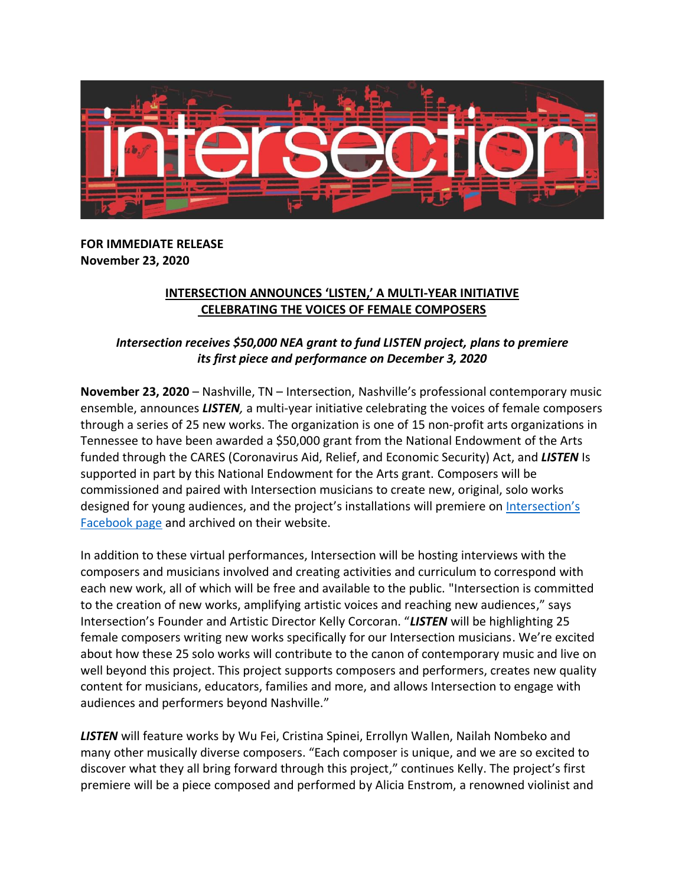

## **FOR IMMEDIATE RELEASE November 23, 2020**

## **INTERSECTION ANNOUNCES 'LISTEN,' A MULTI-YEAR INITIATIVE CELEBRATING THE VOICES OF FEMALE COMPOSERS**

## *Intersection receives \$50,000 NEA grant to fund LISTEN project, plans to premiere its first piece and performance on December 3, 2020*

**November 23, 2020** – Nashville, TN – Intersection, Nashville's professional contemporary music ensemble, announces *LISTEN,* a multi-year initiative celebrating the voices of female composers through a series of 25 new works. The organization is one of 15 non-profit arts organizations in Tennessee to have been awarded a \$50,000 grant from the National Endowment of the Arts funded through the CARES (Coronavirus Aid, Relief, and Economic Security) Act, and *LISTEN* Is supported in part by this National Endowment for the Arts grant. Composers will be commissioned and paired with Intersection musicians to create new, original, solo works designed for young audiences, and the project's installations will premiere on [Intersection's](https://www.facebook.com/IntersectionCME/)  [Facebook page](https://www.facebook.com/IntersectionCME/) and archived on their website.

In addition to these virtual performances, Intersection will be hosting interviews with the composers and musicians involved and creating activities and curriculum to correspond with each new work, all of which will be free and available to the public. "Intersection is committed to the creation of new works, amplifying artistic voices and reaching new audiences," says Intersection's Founder and Artistic Director Kelly Corcoran. "*LISTEN* will be highlighting 25 female composers writing new works specifically for our Intersection musicians. We're excited about how these 25 solo works will contribute to the canon of contemporary music and live on well beyond this project. This project supports composers and performers, creates new quality content for musicians, educators, families and more, and allows Intersection to engage with audiences and performers beyond Nashville."

*LISTEN* will feature works by Wu Fei, Cristina Spinei, Errollyn Wallen, Nailah Nombeko and many other musically diverse composers. "Each composer is unique, and we are so excited to discover what they all bring forward through this project," continues Kelly. The project's first premiere will be a piece composed and performed by Alicia Enstrom, a renowned violinist and